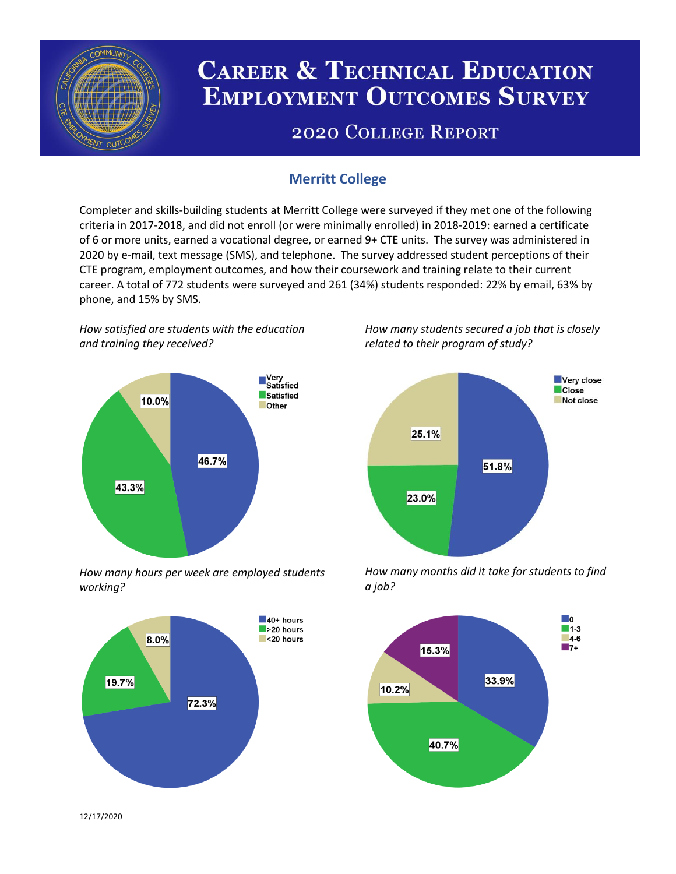

# **CAREER & TECHNICAL EDUCATION EMPLOYMENT OUTCOMES SURVEY**

## **2020 COLLEGE REPORT**

## **Merritt College**

Completer and skills-building students at Merritt College were surveyed if they met one of the following criteria in 2017-2018, and did not enroll (or were minimally enrolled) in 2018-2019: earned a certificate of 6 or more units, earned a vocational degree, or earned 9+ CTE units. The survey was administered in 2020 by e-mail, text message (SMS), and telephone. The survey addressed student perceptions of their CTE program, employment outcomes, and how their coursework and training relate to their current career. A total of 772 students were surveyed and 261 (34%) students responded: 22% by email, 63% by phone, and 15% by SMS.

*How satisfied are students with the education and training they received?*



*How many hours per week are employed students working?*



*How many students secured a job that is closely related to their program of study?*



*How many months did it take for students to find a job?*



12/17/2020